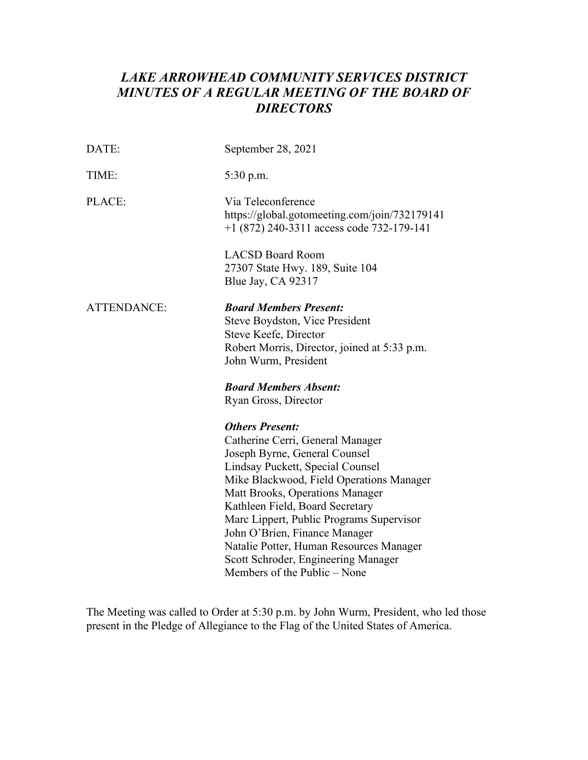# *MINUTES OF A REGULAR MEETING OF THE BOARD OF LAKE ARROWHEAD COMMUNITY SERVICES DISTRICT DIRECTORS*

| DATE:              | September 28, 2021                                                                                                                                                                                                                                                                                                                                                                                                                               |  |
|--------------------|--------------------------------------------------------------------------------------------------------------------------------------------------------------------------------------------------------------------------------------------------------------------------------------------------------------------------------------------------------------------------------------------------------------------------------------------------|--|
| TIME:              | 5:30 p.m.                                                                                                                                                                                                                                                                                                                                                                                                                                        |  |
| PLACE:             | Via Teleconference<br>https://global.gotomeeting.com/join/732179141<br>$+1$ (872) 240-3311 access code 732-179-141                                                                                                                                                                                                                                                                                                                               |  |
|                    | <b>LACSD Board Room</b><br>27307 State Hwy. 189, Suite 104<br>Blue Jay, CA 92317                                                                                                                                                                                                                                                                                                                                                                 |  |
| <b>ATTENDANCE:</b> | <b>Board Members Present:</b><br>Steve Boydston, Vice President<br>Steve Keefe, Director<br>Robert Morris, Director, joined at 5:33 p.m.<br>John Wurm, President                                                                                                                                                                                                                                                                                 |  |
|                    | <b>Board Members Absent:</b><br>Ryan Gross, Director                                                                                                                                                                                                                                                                                                                                                                                             |  |
|                    | <b>Others Present:</b><br>Catherine Cerri, General Manager<br>Joseph Byrne, General Counsel<br>Lindsay Puckett, Special Counsel<br>Mike Blackwood, Field Operations Manager<br>Matt Brooks, Operations Manager<br>Kathleen Field, Board Secretary<br>Marc Lippert, Public Programs Supervisor<br>John O'Brien, Finance Manager<br>Natalie Potter, Human Resources Manager<br>Scott Schroder, Engineering Manager<br>Members of the Public - None |  |

The Meeting was called to Order at 5:30 p.m. by John Wurm, President, who led those present in the Pledge of Allegiance to the Flag of the United States of America.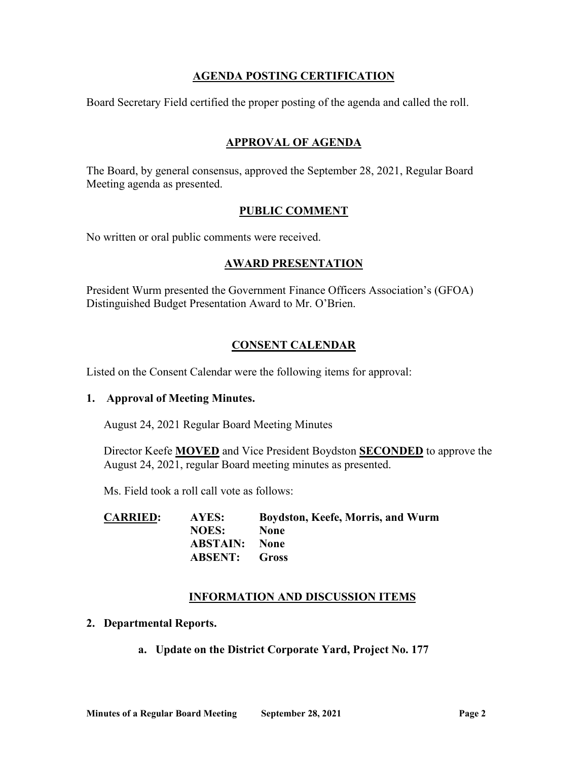# **AGENDA POSTING CERTIFICATION**

Board Secretary Field certified the proper posting of the agenda and called the roll.

# **APPROVAL OF AGENDA**

The Board, by general consensus, approved the September 28, 2021, Regular Board Meeting agenda as presented.

## **PUBLIC COMMENT**

No written or oral public comments were received.

## **AWARD PRESENTATION**

President Wurm presented the Government Finance Officers Association's (GFOA) Distinguished Budget Presentation Award to Mr. O'Brien.

# **CONSENT CALENDAR**

Listed on the Consent Calendar were the following items for approval:

### **1. Approval of Meeting Minutes.**

August 24, 2021 Regular Board Meeting Minutes

Director Keefe **MOVED** and Vice President Boydston **SECONDED** to approve the August 24, 2021, regular Board meeting minutes as presented.

Ms. Field took a roll call vote as follows:

| <b>CARRIED:</b> | AYES:                | Boydston, Keefe, Morris, and Wurm |
|-----------------|----------------------|-----------------------------------|
|                 | <b>NOES:</b>         | <b>None</b>                       |
|                 | <b>ABSTAIN:</b> None |                                   |
|                 | <b>ABSENT:</b> Gross |                                   |

### **INFORMATION AND DISCUSSION ITEMS**

- **2. Departmental Reports.** 
	- **a. Update on the District Corporate Yard, Project No. 177**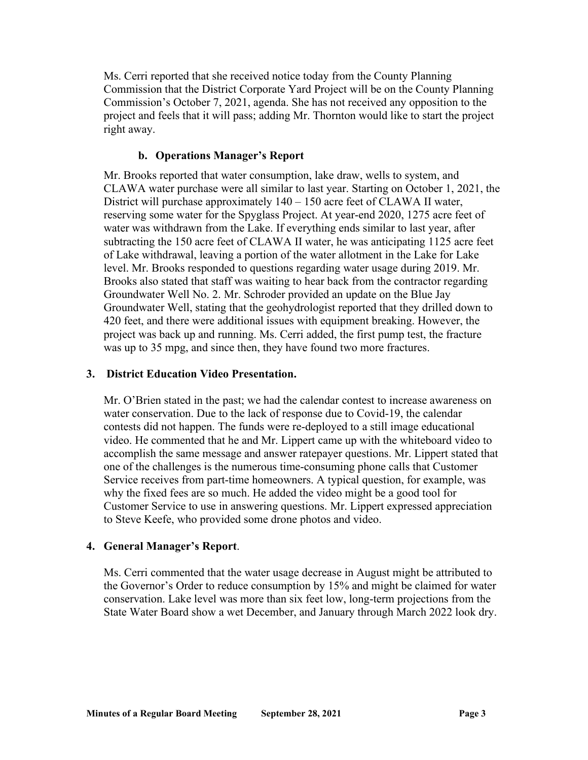Ms. Cerri reported that she received notice today from the County Planning Commission that the District Corporate Yard Project will be on the County Planning Commission's October 7, 2021, agenda. She has not received any opposition to the project and feels that it will pass; adding Mr. Thornton would like to start the project right away.

# **b. Operations Manager's Report**

 Mr. Brooks reported that water consumption, lake draw, wells to system, and CLAWA water purchase were all similar to last year. Starting on October 1, 2021, the District will purchase approximately 140 – 150 acre feet of CLAWA II water, reserving some water for the Spyglass Project. At year-end 2020, 1275 acre feet of water was withdrawn from the Lake. If everything ends similar to last year, after subtracting the 150 acre feet of CLAWA II water, he was anticipating 1125 acre feet Groundwater Well No. 2. Mr. Schroder provided an update on the Blue Jay Groundwater Well, stating that the geohydrologist reported that they drilled down to project was back up and running. Ms. Cerri added, the first pump test, the fracture was up to 35 mpg, and since then, they have found two more fractures. of Lake withdrawal, leaving a portion of the water allotment in the Lake for Lake level. Mr. Brooks responded to questions regarding water usage during 2019. Mr. Brooks also stated that staff was waiting to hear back from the contractor regarding 420 feet, and there were additional issues with equipment breaking. However, the

### **3. District Education Video Presentation.**

 water conservation. Due to the lack of response due to Covid-19, the calendar contests did not happen. The funds were re-deployed to a still image educational one of the challenges is the numerous time-consuming phone calls that Customer Service receives from part-time homeowners. A typical question, for example, was Customer Service to use in answering questions. Mr. Lippert expressed appreciation to Steve Keefe, who provided some drone photos and video. Mr. O'Brien stated in the past; we had the calendar contest to increase awareness on video. He commented that he and Mr. Lippert came up with the whiteboard video to accomplish the same message and answer ratepayer questions. Mr. Lippert stated that why the fixed fees are so much. He added the video might be a good tool for

### 4. General Manager's Report.

 conservation. Lake level was more than six feet low, long-term projections from the State Water Board show a wet December, and January through March 2022 look dry. **Ms. Cerri commented that the water usage decrease in August might be attributed to** the Governor's Order to reduce consumption by 15% and might be claimed for water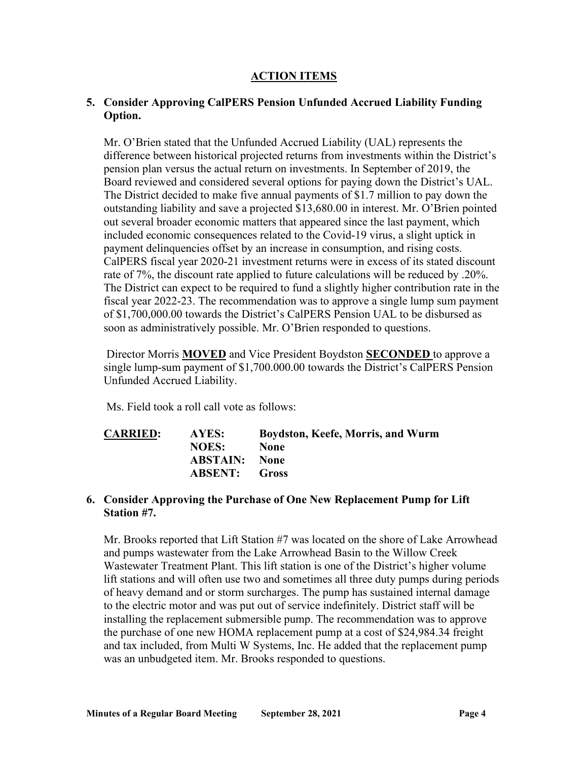## **ACTION ITEMS**

# **5. Consider Approving CalPERS Pension Unfunded Accrued Liability Funding Option.**

 of \$[1,700,000.00](https://1,700,000.00) towards the District's CalPERS Pension UAL to be disbursed as Mr. O'Brien stated that the Unfunded Accrued Liability (UAL) represents the difference between historical projected returns from investments within the District's pension plan versus the actual return on investments. In September of 2019, the Board reviewed and considered several options for paying down the District's UAL. The District decided to make five annual payments of \$1.7 million to pay down the outstanding liability and save a projected \$[13,680.00](https://13,680.00) in interest. Mr. O'Brien pointed out several broader economic matters that appeared since the last payment, which included economic consequences related to the Covid-19 virus, a slight uptick in payment delinquencies offset by an increase in consumption, and rising costs. CalPERS fiscal year 2020-21 investment returns were in excess of its stated discount rate of 7%, the discount rate applied to future calculations will be reduced by .20%. The District can expect to be required to fund a slightly higher contribution rate in the fiscal year 2022-23. The recommendation was to approve a single lump sum payment soon as administratively possible. Mr. O'Brien responded to questions.

 Director Morris **MOVED** and Vice President Boydston **SECONDED** to approve a single lump-sum payment of \$[1,700.000.00](https://1,700.000.00) towards the District's CalPERS Pension Unfunded Accrued Liability.

Ms. Field took a roll call vote as follows:

| <b>CARRIED:</b> | AYES:                | Boydston, Keefe, Morris, and Wurm |
|-----------------|----------------------|-----------------------------------|
|                 | <b>NOES:</b>         | <b>None</b>                       |
|                 | <b>ABSTAIN:</b> None |                                   |
|                 | <b>ABSENT:</b> Gross |                                   |

#### **6. Consider Approving the Purchase of One New Replacement Pump for Lift Station #7.**

 Wastewater Treatment Plant. This lift station is one of the District's higher volume lift stations and will often use two and sometimes all three duty pumps during periods of heavy demand and or storm surcharges. The pump has sustained internal damage to the electric motor and was put out of service indefinitely. District staff will be installing the replacement submersible pump. The recommendation was to approve the purchase of one new HOMA replacement pump at a cost of [\\$24,984.34](https://24,984.34) freight and tax included, from Multi W Systems, Inc. He added that the replacement pump Mr. Brooks reported that Lift Station #7 was located on the shore of Lake Arrowhead and pumps wastewater from the Lake Arrowhead Basin to the Willow Creek was an unbudgeted item. Mr. Brooks responded to questions.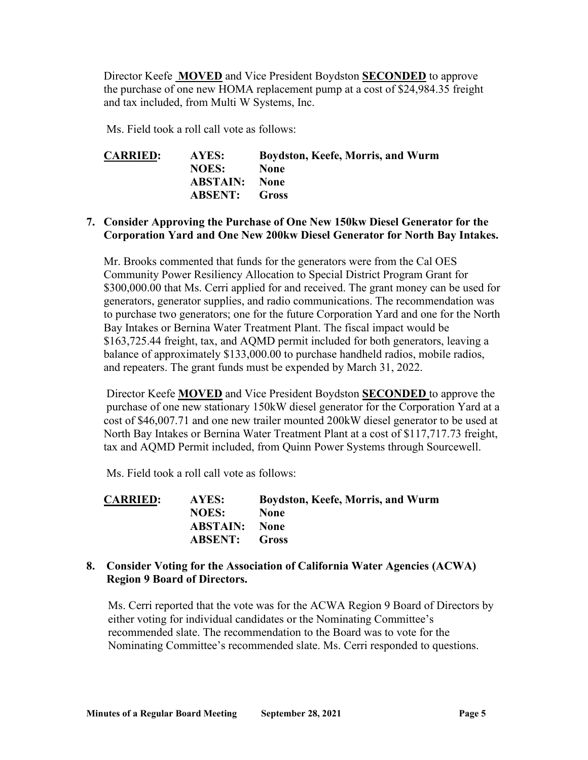Director Keefe **MOVED** and Vice President Boydston **SECONDED** to approve the purchase of one new HOMA replacement pump at a cost of [\\$24,984.35](https://24,984.35) freight and tax included, from Multi W Systems, Inc.

Ms. Field took a roll call vote as follows:

| <b>CARRIED:</b> | AYES:                | Boydston, Keefe, Morris, and Wurm |
|-----------------|----------------------|-----------------------------------|
|                 | <b>NOES:</b>         | <b>None</b>                       |
|                 | <b>ABSTAIN:</b> None |                                   |
|                 | <b>ABSENT:</b> Gross |                                   |

## **7. Consider Approving the Purchase of One New 150kw Diesel Generator for the Corporation Yard and One New 200kw Diesel Generator for North Bay Intakes.**

 to purchase two generators; one for the future Corporation Yard and one for the North Mr. Brooks commented that funds for the generators were from the Cal OES Community Power Resiliency Allocation to Special District Program Grant for [\\$300,000.00](https://300,000.00) that Ms. Cerri applied for and received. The grant money can be used for generators, generator supplies, and radio communications. The recommendation was Bay Intakes or Bernina Water Treatment Plant. The fiscal impact would be [\\$163,725.44](https://163,725.44) freight, tax, and AQMD permit included for both generators, leaving a balance of approximately \$[133,000.00](https://133,000.00) to purchase handheld radios, mobile radios, and repeaters. The grant funds must be expended by March 31, 2022.

 Director Keefe **MOVED** and Vice President Boydston **SECONDED** to approve the purchase of one new stationary 150kW diesel generator for the Corporation Yard at a North Bay Intakes or Bernina Water Treatment Plant at a cost of [\\$117,717.73](https://117,717.73) freight, cost of [\\$46,007.71](https://46,007.71) and one new trailer mounted 200kW diesel generator to be used at tax and AQMD Permit included, from Quinn Power Systems through Sourcewell.

Ms. Field took a roll call vote as follows:

| <b>CARRIED:</b> | AYES:                | Boydston, Keefe, Morris, and Wurm |
|-----------------|----------------------|-----------------------------------|
|                 | <b>NOES:</b>         | <b>None</b>                       |
|                 | <b>ABSTAIN:</b> None |                                   |
|                 | <b>ABSENT:</b> Gross |                                   |

### **8. Consider Voting for the Association of California Water Agencies (ACWA) Region 9 Board of Directors.**

 Ms. Cerri reported that the vote was for the ACWA Region 9 Board of Directors by recommended slate. The recommendation to the Board was to vote for the either voting for individual candidates or the Nominating Committee's Nominating Committee's recommended slate. Ms. Cerri responded to questions.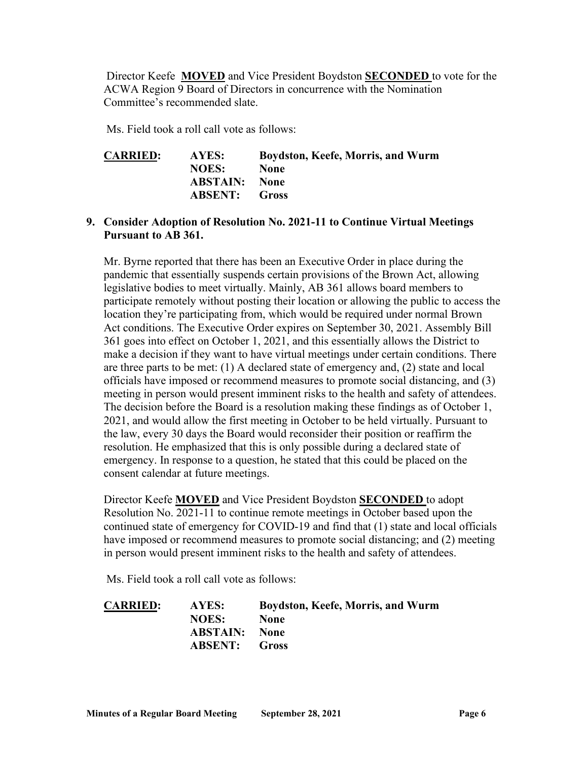Director Keefe **MOVED** and Vice President Boydston **SECONDED** to vote for the ACWA Region 9 Board of Directors in concurrence with the Nomination Committee's recommended slate.

Ms. Field took a roll call vote as follows:

| <b>CARRIED:</b> | AYES:                | Boydston, Keefe, Morris, and Wurm |
|-----------------|----------------------|-----------------------------------|
|                 | <b>NOES:</b>         | <b>None</b>                       |
|                 | <b>ABSTAIN:</b> None |                                   |
|                 | <b>ABSENT:</b> Gross |                                   |

### **9. Consider Adoption of Resolution No. 2021-11 to Continue Virtual Meetings Pursuant to AB 361.**

 pandemic that essentially suspends certain provisions of the Brown Act, allowing participate remotely without posting their location or allowing the public to access the location they're participating from, which would be required under normal Brown 361 goes into effect on October 1, 2021, and this essentially allows the District to are three parts to be met: (1) A declared state of emergency and, (2) state and local meeting in person would present imminent risks to the health and safety of attendees. The decision before the Board is a resolution making these findings as of October 1, Mr. Byrne reported that there has been an Executive Order in place during the legislative bodies to meet virtually. Mainly, AB 361 allows board members to Act conditions. The Executive Order expires on September 30, 2021. Assembly Bill make a decision if they want to have virtual meetings under certain conditions. There officials have imposed or recommend measures to promote social distancing, and (3) 2021, and would allow the first meeting in October to be held virtually. Pursuant to the law, every 30 days the Board would reconsider their position or reaffirm the resolution. He emphasized that this is only possible during a declared state of emergency. In response to a question, he stated that this could be placed on the consent calendar at future meetings.

 Director Keefe **MOVED** and Vice President Boydston **SECONDED** to adopt in person would present imminent risks to the health and safety of attendees. Resolution No. 2021-11 to continue remote meetings in October based upon the continued state of emergency for COVID-19 and find that (1) state and local officials have imposed or recommend measures to promote social distancing; and (2) meeting

Ms. Field took a roll call vote as follows:

| <b>CARRIED:</b> | AYES:                | Boydston, Keefe, Morris, and Wurm |
|-----------------|----------------------|-----------------------------------|
|                 | <b>NOES:</b>         | <b>None</b>                       |
|                 | <b>ABSTAIN:</b> None |                                   |
|                 | <b>ABSENT:</b> Gross |                                   |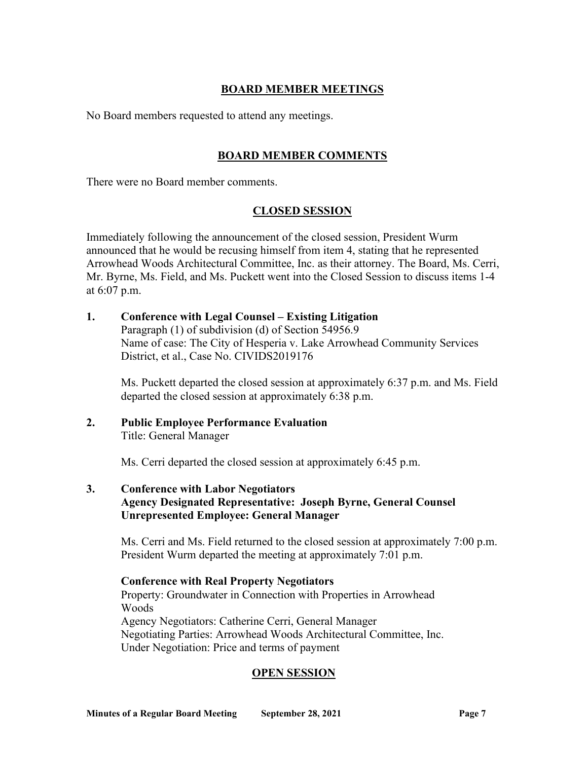# **BOARD MEMBER MEETINGS**

No Board members requested to attend any meetings.

# **BOARD MEMBER COMMENTS**

There were no Board member comments.

# **CLOSED SESSION**

 announced that he would be recusing himself from item 4, stating that he represented Mr. Byrne, Ms. Field, and Ms. Puckett went into the Closed Session to discuss items 1-4 at 6:07 p.m. Immediately following the announcement of the closed session, President Wurm Arrowhead Woods Architectural Committee, Inc. as their attorney. The Board, Ms. Cerri,

**1. Conference with Legal Counsel – Existing Litigation**  Paragraph (1) of subdivision (d) of Section 54956.9 Name of case: The City of Hesperia v. Lake Arrowhead Community Services District, et al., Case No. CIVIDS2019176

Ms. Puckett departed the closed session at approximately 6:37 p.m. and Ms. Field departed the closed session at approximately 6:38 p.m.

### **2. Public Employee Performance Evaluation**  Title: General Manager

Ms. Cerri departed the closed session at approximately 6:45 p.m.

 **Agency Designated Representative: Joseph Byrne, General Counsel 3. Conference with Labor Negotiators Unrepresented Employee: General Manager** 

 President Wurm departed the meeting at approximately 7:01 p.m. Ms. Cerri and Ms. Field returned to the closed session at approximately 7:00 p.m.

**Conference with Real Property Negotiators**  Property: Groundwater in Connection with Properties in Arrowhead Woods Agency Negotiators: Catherine Cerri, General Manager Negotiating Parties: Arrowhead Woods Architectural Committee, Inc. Under Negotiation: Price and terms of payment

# **OPEN SESSION**